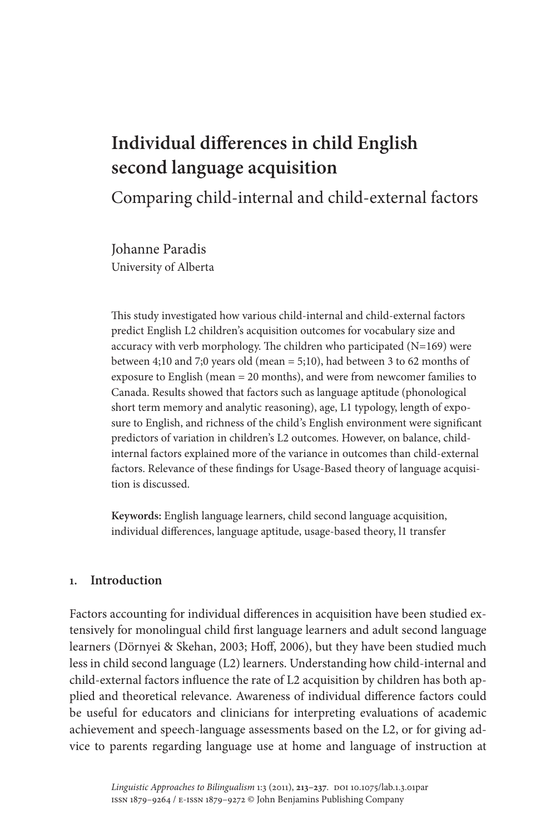# **Individual differences in child English second language acquisition**

Comparing child-internal and child-external factors

Johanne Paradis University of Alberta

This study investigated how various child-internal and child-external factors predict English L2 children's acquisition outcomes for vocabulary size and accuracy with verb morphology. The children who participated  $(N=169)$  were between 4;10 and 7;0 years old (mean = 5;10), had between 3 to 62 months of exposure to English (mean = 20 months), and were from newcomer families to Canada. Results showed that factors such as language aptitude (phonological short term memory and analytic reasoning), age, L1 typology, length of exposure to English, and richness of the child's English environment were significant predictors of variation in children's L2 outcomes. However, on balance, childinternal factors explained more of the variance in outcomes than child-external factors. Relevance of these findings for Usage-Based theory of language acquisition is discussed.

**Keywords:** English language learners, child second language acquisition, individual differences, language aptitude, usage-based theory, l1 transfer

# **1. Introduction**

Factors accounting for individual differences in acquisition have been studied extensively for monolingual child first language learners and adult second language learners (Dörnyei & Skehan, 2003; Hoff, 2006), but they have been studied much less in child second language (L2) learners. Understanding how child-internal and child-external factors influence the rate of L2 acquisition by children has both applied and theoretical relevance. Awareness of individual difference factors could be useful for educators and clinicians for interpreting evaluations of academic achievement and speech-language assessments based on the L2, or for giving advice to parents regarding language use at home and language of instruction at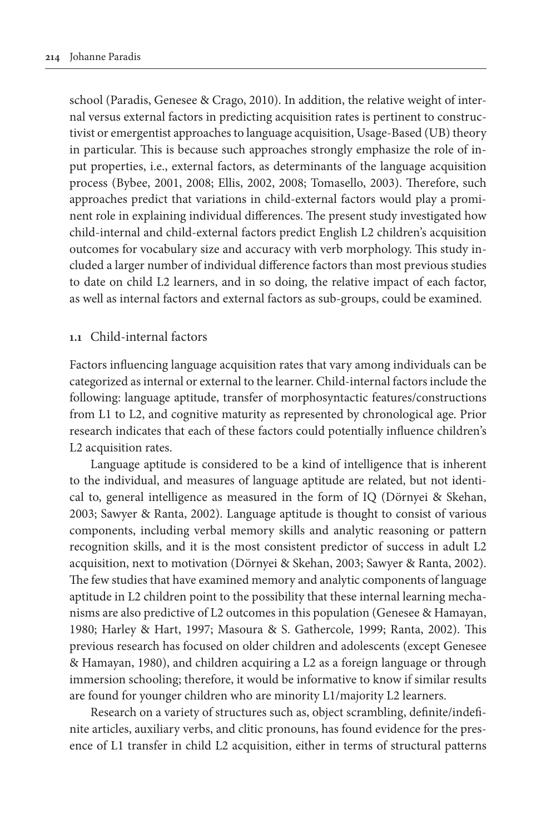school (Paradis, Genesee & Crago, 2010). In addition, the relative weight of internal versus external factors in predicting acquisition rates is pertinent to constructivist or emergentist approaches to language acquisition, Usage-Based (UB) theory in particular. This is because such approaches strongly emphasize the role of input properties, i.e., external factors, as determinants of the language acquisition process (Bybee, 2001, 2008; Ellis, 2002, 2008; Tomasello, 2003). Therefore, such approaches predict that variations in child-external factors would play a prominent role in explaining individual differences. The present study investigated how child-internal and child-external factors predict English L2 children's acquisition outcomes for vocabulary size and accuracy with verb morphology. This study included a larger number of individual difference factors than most previous studies to date on child L2 learners, and in so doing, the relative impact of each factor, as well as internal factors and external factors as sub-groups, could be examined.

#### **1.1** Child-internal factors

Factors influencing language acquisition rates that vary among individuals can be categorized as internal or external to the learner. Child-internal factors include the following: language aptitude, transfer of morphosyntactic features/constructions from L1 to L2, and cognitive maturity as represented by chronological age. Prior research indicates that each of these factors could potentially influence children's L2 acquisition rates.

Language aptitude is considered to be a kind of intelligence that is inherent to the individual, and measures of language aptitude are related, but not identical to, general intelligence as measured in the form of IQ (Dörnyei & Skehan, 2003; Sawyer & Ranta, 2002). Language aptitude is thought to consist of various components, including verbal memory skills and analytic reasoning or pattern recognition skills, and it is the most consistent predictor of success in adult L2 acquisition, next to motivation (Dörnyei & Skehan, 2003; Sawyer & Ranta, 2002). The few studies that have examined memory and analytic components of language aptitude in L2 children point to the possibility that these internal learning mechanisms are also predictive of L2 outcomes in this population (Genesee & Hamayan, 1980; Harley & Hart, 1997; Masoura & S. Gathercole, 1999; Ranta, 2002). This previous research has focused on older children and adolescents (except Genesee & Hamayan, 1980), and children acquiring a L2 as a foreign language or through immersion schooling; therefore, it would be informative to know if similar results are found for younger children who are minority L1/majority L2 learners.

Research on a variety of structures such as, object scrambling, definite/indefinite articles, auxiliary verbs, and clitic pronouns, has found evidence for the presence of L1 transfer in child L2 acquisition, either in terms of structural patterns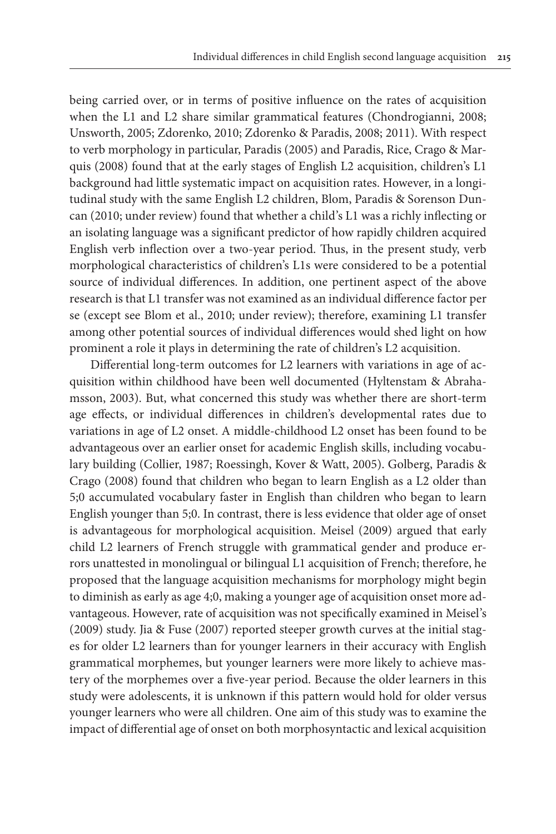being carried over, or in terms of positive influence on the rates of acquisition when the L1 and L2 share similar grammatical features (Chondrogianni, 2008; Unsworth, 2005; Zdorenko, 2010; Zdorenko & Paradis, 2008; 2011). With respect to verb morphology in particular, Paradis (2005) and Paradis, Rice, Crago & Marquis (2008) found that at the early stages of English L2 acquisition, children's L1 background had little systematic impact on acquisition rates. However, in a longitudinal study with the same English L2 children, Blom, Paradis & Sorenson Duncan (2010; under review) found that whether a child's L1 was a richly inflecting or an isolating language was a significant predictor of how rapidly children acquired English verb inflection over a two-year period. Thus, in the present study, verb morphological characteristics of children's L1s were considered to be a potential source of individual differences. In addition, one pertinent aspect of the above research is that L1 transfer was not examined as an individual difference factor per se (except see Blom et al., 2010; under review); therefore, examining L1 transfer among other potential sources of individual differences would shed light on how prominent a role it plays in determining the rate of children's L2 acquisition.

Differential long-term outcomes for L2 learners with variations in age of acquisition within childhood have been well documented (Hyltenstam & Abrahamsson, 2003). But, what concerned this study was whether there are short-term age effects, or individual differences in children's developmental rates due to variations in age of L2 onset. A middle-childhood L2 onset has been found to be advantageous over an earlier onset for academic English skills, including vocabulary building (Collier, 1987; Roessingh, Kover & Watt, 2005). Golberg, Paradis & Crago (2008) found that children who began to learn English as a L2 older than 5;0 accumulated vocabulary faster in English than children who began to learn English younger than 5;0. In contrast, there is less evidence that older age of onset is advantageous for morphological acquisition. Meisel (2009) argued that early child L2 learners of French struggle with grammatical gender and produce errors unattested in monolingual or bilingual L1 acquisition of French; therefore, he proposed that the language acquisition mechanisms for morphology might begin to diminish as early as age 4;0, making a younger age of acquisition onset more advantageous. However, rate of acquisition was not specifically examined in Meisel's (2009) study. Jia & Fuse (2007) reported steeper growth curves at the initial stages for older L2 learners than for younger learners in their accuracy with English grammatical morphemes, but younger learners were more likely to achieve mastery of the morphemes over a five-year period. Because the older learners in this study were adolescents, it is unknown if this pattern would hold for older versus younger learners who were all children. One aim of this study was to examine the impact of differential age of onset on both morphosyntactic and lexical acquisition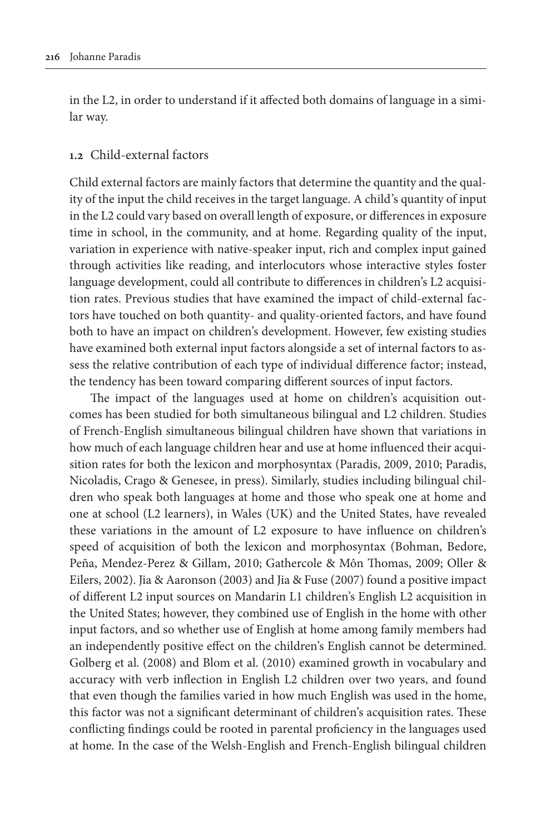in the L2, in order to understand if it affected both domains of language in a similar way.

### **1.2** Child-external factors

Child external factors are mainly factors that determine the quantity and the quality of the input the child receives in the target language. A child's quantity of input in the L2 could vary based on overall length of exposure, or differences in exposure time in school, in the community, and at home. Regarding quality of the input, variation in experience with native-speaker input, rich and complex input gained through activities like reading, and interlocutors whose interactive styles foster language development, could all contribute to differences in children's L2 acquisition rates. Previous studies that have examined the impact of child-external factors have touched on both quantity- and quality-oriented factors, and have found both to have an impact on children's development. However, few existing studies have examined both external input factors alongside a set of internal factors to assess the relative contribution of each type of individual difference factor; instead, the tendency has been toward comparing different sources of input factors.

The impact of the languages used at home on children's acquisition outcomes has been studied for both simultaneous bilingual and L2 children. Studies of French-English simultaneous bilingual children have shown that variations in how much of each language children hear and use at home influenced their acquisition rates for both the lexicon and morphosyntax (Paradis, 2009, 2010; Paradis, Nicoladis, Crago & Genesee, in press). Similarly, studies including bilingual children who speak both languages at home and those who speak one at home and one at school (L2 learners), in Wales (UK) and the United States, have revealed these variations in the amount of L2 exposure to have influence on children's speed of acquisition of both the lexicon and morphosyntax (Bohman, Bedore, Peña, Mendez-Perez & Gillam, 2010; Gathercole & Môn Thomas, 2009; Oller & Eilers, 2002). Jia & Aaronson (2003) and Jia & Fuse (2007) found a positive impact of different L2 input sources on Mandarin L1 children's English L2 acquisition in the United States; however, they combined use of English in the home with other input factors, and so whether use of English at home among family members had an independently positive effect on the children's English cannot be determined. Golberg et al. (2008) and Blom et al. (2010) examined growth in vocabulary and accuracy with verb inflection in English L2 children over two years, and found that even though the families varied in how much English was used in the home, this factor was not a significant determinant of children's acquisition rates. These conflicting findings could be rooted in parental proficiency in the languages used at home. In the case of the Welsh-English and French-English bilingual children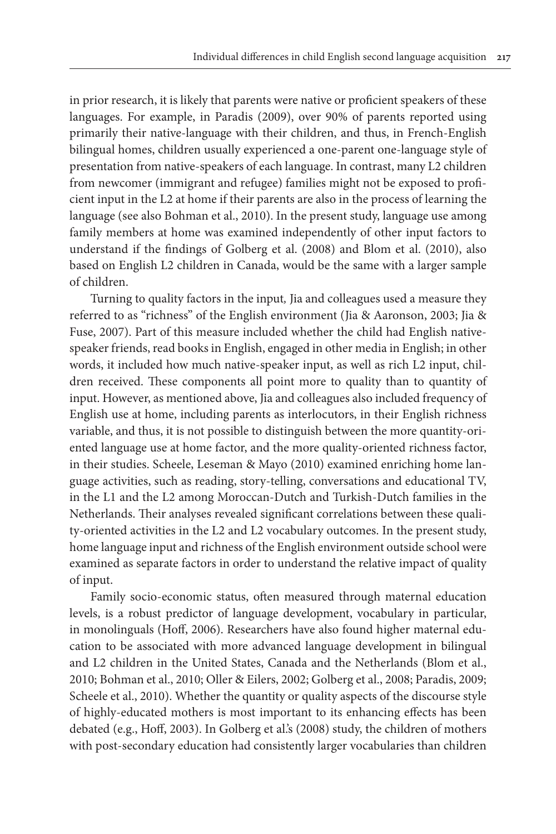in prior research, it is likely that parents were native or proficient speakers of these languages. For example, in Paradis (2009), over 90% of parents reported using primarily their native-language with their children, and thus, in French-English bilingual homes, children usually experienced a one-parent one-language style of presentation from native-speakers of each language. In contrast, many L2 children from newcomer (immigrant and refugee) families might not be exposed to proficient input in the L2 at home if their parents are also in the process of learning the language (see also Bohman et al., 2010). In the present study, language use among family members at home was examined independently of other input factors to understand if the findings of Golberg et al. (2008) and Blom et al. (2010), also based on English L2 children in Canada, would be the same with a larger sample of children.

Turning to quality factors in the input*,* Jia and colleagues used a measure they referred to as "richness" of the English environment (Jia & Aaronson, 2003; Jia & Fuse, 2007). Part of this measure included whether the child had English nativespeaker friends, read books in English, engaged in other media in English; in other words, it included how much native-speaker input, as well as rich L2 input, children received. These components all point more to quality than to quantity of input. However, as mentioned above, Jia and colleagues also included frequency of English use at home, including parents as interlocutors, in their English richness variable, and thus, it is not possible to distinguish between the more quantity-oriented language use at home factor, and the more quality-oriented richness factor, in their studies. Scheele, Leseman & Mayo (2010) examined enriching home language activities, such as reading, story-telling, conversations and educational TV, in the L1 and the L2 among Moroccan-Dutch and Turkish-Dutch families in the Netherlands. Their analyses revealed significant correlations between these quality-oriented activities in the L2 and L2 vocabulary outcomes. In the present study, home language input and richness of the English environment outside school were examined as separate factors in order to understand the relative impact of quality of input.

Family socio-economic status, often measured through maternal education levels, is a robust predictor of language development, vocabulary in particular, in monolinguals (Hoff, 2006). Researchers have also found higher maternal education to be associated with more advanced language development in bilingual and L2 children in the United States, Canada and the Netherlands (Blom et al., 2010; Bohman et al., 2010; Oller & Eilers, 2002; Golberg et al., 2008; Paradis, 2009; Scheele et al., 2010). Whether the quantity or quality aspects of the discourse style of highly-educated mothers is most important to its enhancing effects has been debated (e.g., Hoff, 2003). In Golberg et al.'s (2008) study, the children of mothers with post-secondary education had consistently larger vocabularies than children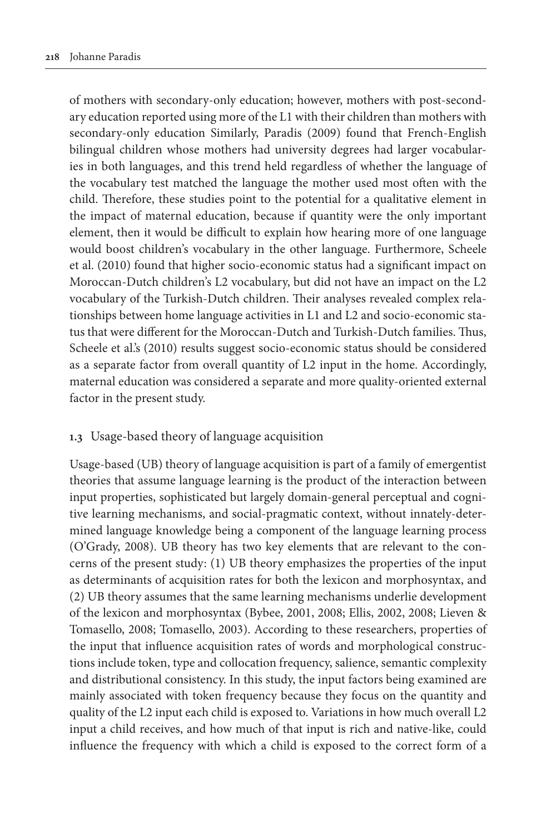of mothers with secondary-only education; however, mothers with post-secondary education reported using more of the L1 with their children than mothers with secondary-only education Similarly, Paradis (2009) found that French-English bilingual children whose mothers had university degrees had larger vocabularies in both languages, and this trend held regardless of whether the language of the vocabulary test matched the language the mother used most often with the child. Therefore, these studies point to the potential for a qualitative element in the impact of maternal education, because if quantity were the only important element, then it would be difficult to explain how hearing more of one language would boost children's vocabulary in the other language. Furthermore, Scheele et al. (2010) found that higher socio-economic status had a significant impact on Moroccan-Dutch children's L2 vocabulary, but did not have an impact on the L2 vocabulary of the Turkish-Dutch children. Their analyses revealed complex relationships between home language activities in L1 and L2 and socio-economic status that were different for the Moroccan-Dutch and Turkish-Dutch families. Thus, Scheele et al.'s (2010) results suggest socio-economic status should be considered as a separate factor from overall quantity of L2 input in the home. Accordingly, maternal education was considered a separate and more quality-oriented external factor in the present study.

# **1.3** Usage-based theory of language acquisition

Usage-based (UB) theory of language acquisition is part of a family of emergentist theories that assume language learning is the product of the interaction between input properties, sophisticated but largely domain-general perceptual and cognitive learning mechanisms, and social-pragmatic context, without innately-determined language knowledge being a component of the language learning process (O'Grady, 2008). UB theory has two key elements that are relevant to the concerns of the present study: (1) UB theory emphasizes the properties of the input as determinants of acquisition rates for both the lexicon and morphosyntax, and (2) UB theory assumes that the same learning mechanisms underlie development of the lexicon and morphosyntax (Bybee, 2001, 2008; Ellis, 2002, 2008; Lieven & Tomasello, 2008; Tomasello, 2003). According to these researchers, properties of the input that influence acquisition rates of words and morphological constructions include token, type and collocation frequency, salience, semantic complexity and distributional consistency. In this study, the input factors being examined are mainly associated with token frequency because they focus on the quantity and quality of the L2 input each child is exposed to. Variations in how much overall L2 input a child receives, and how much of that input is rich and native-like, could influence the frequency with which a child is exposed to the correct form of a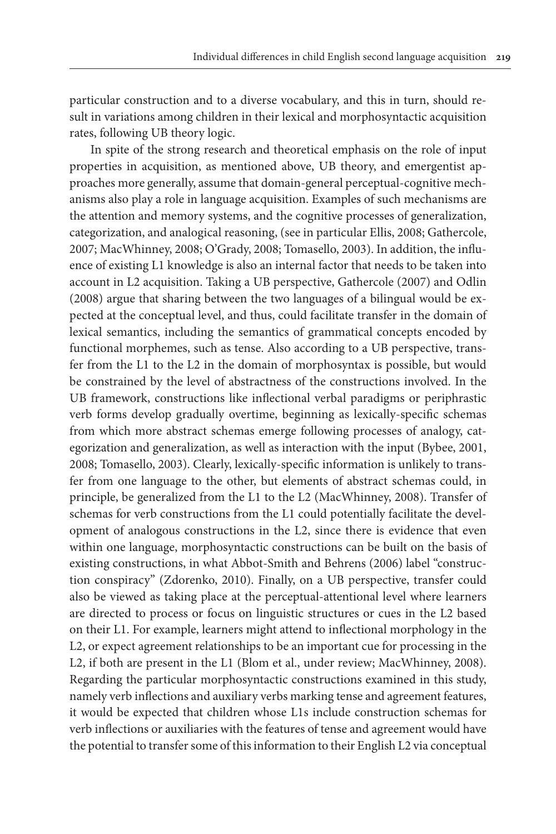particular construction and to a diverse vocabulary, and this in turn, should result in variations among children in their lexical and morphosyntactic acquisition rates, following UB theory logic.

In spite of the strong research and theoretical emphasis on the role of input properties in acquisition, as mentioned above, UB theory, and emergentist approaches more generally, assume that domain-general perceptual-cognitive mechanisms also play a role in language acquisition. Examples of such mechanisms are the attention and memory systems, and the cognitive processes of generalization, categorization, and analogical reasoning, (see in particular Ellis, 2008; Gathercole, 2007; MacWhinney, 2008; O'Grady, 2008; Tomasello, 2003). In addition, the influence of existing L1 knowledge is also an internal factor that needs to be taken into account in L2 acquisition. Taking a UB perspective, Gathercole (2007) and Odlin (2008) argue that sharing between the two languages of a bilingual would be expected at the conceptual level, and thus, could facilitate transfer in the domain of lexical semantics, including the semantics of grammatical concepts encoded by functional morphemes, such as tense. Also according to a UB perspective, transfer from the L1 to the L2 in the domain of morphosyntax is possible, but would be constrained by the level of abstractness of the constructions involved. In the UB framework, constructions like inflectional verbal paradigms or periphrastic verb forms develop gradually overtime, beginning as lexically-specific schemas from which more abstract schemas emerge following processes of analogy, categorization and generalization, as well as interaction with the input (Bybee, 2001, 2008; Tomasello, 2003). Clearly, lexically-specific information is unlikely to transfer from one language to the other, but elements of abstract schemas could, in principle, be generalized from the L1 to the L2 (MacWhinney, 2008). Transfer of schemas for verb constructions from the L1 could potentially facilitate the development of analogous constructions in the L2, since there is evidence that even within one language, morphosyntactic constructions can be built on the basis of existing constructions, in what Abbot-Smith and Behrens (2006) label "construction conspiracy" (Zdorenko, 2010). Finally, on a UB perspective, transfer could also be viewed as taking place at the perceptual-attentional level where learners are directed to process or focus on linguistic structures or cues in the L2 based on their L1. For example, learners might attend to inflectional morphology in the L2, or expect agreement relationships to be an important cue for processing in the L2, if both are present in the L1 (Blom et al., under review; MacWhinney, 2008). Regarding the particular morphosyntactic constructions examined in this study, namely verb inflections and auxiliary verbs marking tense and agreement features, it would be expected that children whose L1s include construction schemas for verb inflections or auxiliaries with the features of tense and agreement would have the potential to transfer some of this information to their English L2 via conceptual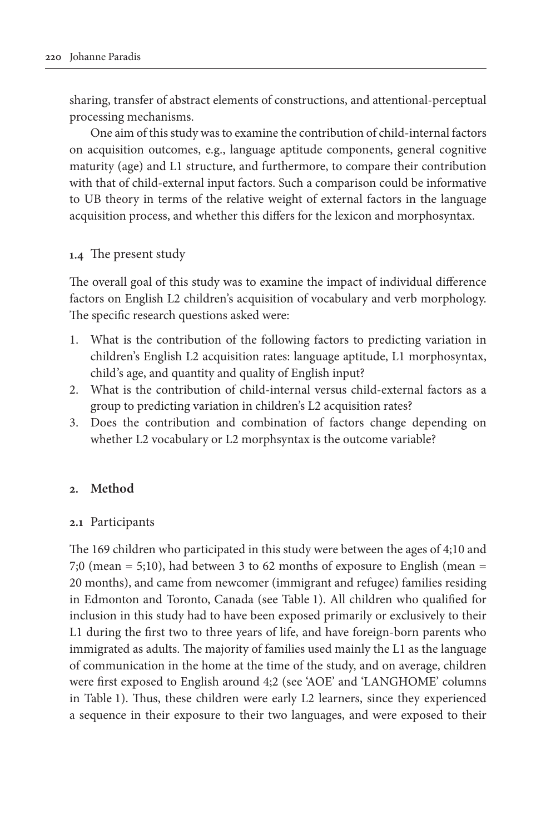sharing, transfer of abstract elements of constructions, and attentional-perceptual processing mechanisms.

One aim of this study was to examine the contribution of child-internal factors on acquisition outcomes, e.g., language aptitude components, general cognitive maturity (age) and L1 structure, and furthermore, to compare their contribution with that of child-external input factors. Such a comparison could be informative to UB theory in terms of the relative weight of external factors in the language acquisition process, and whether this differs for the lexicon and morphosyntax.

# **1.4** The present study

The overall goal of this study was to examine the impact of individual difference factors on English L2 children's acquisition of vocabulary and verb morphology. The specific research questions asked were:

- 1. What is the contribution of the following factors to predicting variation in children's English L2 acquisition rates: language aptitude, L1 morphosyntax, child's age, and quantity and quality of English input?
- 2. What is the contribution of child-internal versus child-external factors as a group to predicting variation in children's L2 acquisition rates?
- 3. Does the contribution and combination of factors change depending on whether L2 vocabulary or L2 morphsyntax is the outcome variable?

### **2. Method**

### **2.1** Participants

The 169 children who participated in this study were between the ages of 4;10 and 7;0 (mean  $= 5;10$ ), had between 3 to 62 months of exposure to English (mean  $=$ 20 months), and came from newcomer (immigrant and refugee) families residing in Edmonton and Toronto, Canada (see Table 1). All children who qualified for inclusion in this study had to have been exposed primarily or exclusively to their L1 during the first two to three years of life, and have foreign-born parents who immigrated as adults. The majority of families used mainly the L1 as the language of communication in the home at the time of the study, and on average, children were first exposed to English around 4;2 (see 'AOE' and 'LANGHOME' columns in Table 1). Thus, these children were early L2 learners, since they experienced a sequence in their exposure to their two languages, and were exposed to their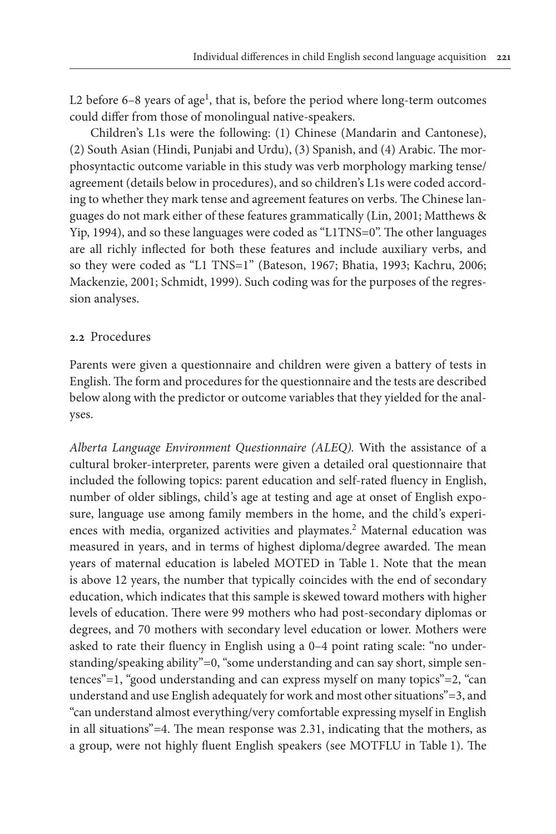L2 before  $6-8$  years of age<sup>1</sup>, that is, before the period where long-term outcomes could differ from those of monolingual native-speakers.

Children's L1s were the following: (1) Chinese (Mandarin and Cantonese), (2) South Asian (Hindi, Punjabi and Urdu), (3) Spanish, and (4) Arabic. The morphosyntactic outcome variable in this study was verb morphology marking tense/ agreement (details below in procedures), and so children's L1s were coded according to whether they mark tense and agreement features on verbs. The Chinese languages do not mark either of these features grammatically (Lin, 2001; Matthews & Yip, 1994), and so these languages were coded as "L1TNS=0". The other languages are all richly inflected for both these features and include auxiliary verbs, and so they were coded as "L1 TNS=1" (Bateson, 1967; Bhatia, 1993; Kachru, 2006; Mackenzie, 2001; Schmidt, 1999). Such coding was for the purposes of the regression analyses.

### **2.2** Procedures

Parents were given a questionnaire and children were given a battery of tests in English. The form and procedures for the questionnaire and the tests are described below along with the predictor or outcome variables that they yielded for the analyses.

*Alberta Language Environment Questionnaire (ALEQ).* With the assistance of a cultural broker-interpreter, parents were given a detailed oral questionnaire that included the following topics: parent education and self-rated fluency in English, number of older siblings, child's age at testing and age at onset of English exposure, language use among family members in the home, and the child's experiences with media, organized activities and playmates.<sup>2</sup> Maternal education was measured in years, and in terms of highest diploma/degree awarded. The mean years of maternal education is labeled MOTED in Table 1. Note that the mean is above 12 years, the number that typically coincides with the end of secondary education, which indicates that this sample is skewed toward mothers with higher levels of education. There were 99 mothers who had post-secondary diplomas or degrees, and 70 mothers with secondary level education or lower. Mothers were asked to rate their fluency in English using a 0–4 point rating scale: "no understanding/speaking ability"=0, "some understanding and can say short, simple sentences"=1, "good understanding and can express myself on many topics"=2, "can understand and use English adequately for work and most other situations"=3, and "can understand almost everything/very comfortable expressing myself in English in all situations"=4. The mean response was 2.31, indicating that the mothers, as a group, were not highly fluent English speakers (see MOTFLU in Table 1). The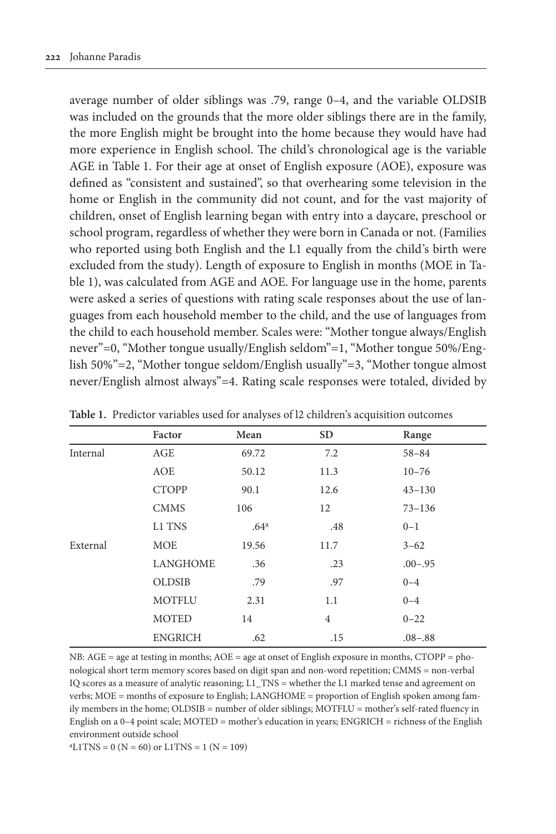average number of older siblings was .79, range 0–4, and the variable OLDSIB was included on the grounds that the more older siblings there are in the family, the more English might be brought into the home because they would have had more experience in English school. The child's chronological age is the variable AGE in Table 1. For their age at onset of English exposure (AOE), exposure was defined as "consistent and sustained", so that overhearing some television in the home or English in the community did not count, and for the vast majority of children, onset of English learning began with entry into a daycare, preschool or school program, regardless of whether they were born in Canada or not. (Families who reported using both English and the L1 equally from the child's birth were excluded from the study). Length of exposure to English in months (MOE in Table 1), was calculated from AGE and AOE. For language use in the home, parents were asked a series of questions with rating scale responses about the use of languages from each household member to the child, and the use of languages from the child to each household member. Scales were: "Mother tongue always/English never"=0, "Mother tongue usually/English seldom"=1, "Mother tongue 50%/English 50%"=2, "Mother tongue seldom/English usually"=3, "Mother tongue almost never/English almost always"=4. Rating scale responses were totaled, divided by

|          | Factor          | Mean             | <b>SD</b>      | Range       |
|----------|-----------------|------------------|----------------|-------------|
| Internal | AGE             | 69.72            | 7.2            | $58 - 84$   |
|          | AOE             | 50.12            | 11.3           | $10 - 76$   |
|          | <b>CTOPP</b>    | 90.1             | 12.6           | $43 - 130$  |
|          | <b>CMMS</b>     | 106              | 12             | $73 - 136$  |
|          | L1 TNS          | .64 <sup>a</sup> | .48            | $0 - 1$     |
| External | <b>MOE</b>      | 19.56            | 11.7           | $3 - 62$    |
|          | <b>LANGHOME</b> | .36              | .23            | $.00 - .95$ |
|          | <b>OLDSIB</b>   | .79              | .97            | $0 - 4$     |
|          | <b>MOTFLU</b>   | 2.31             | 1.1            | $0 - 4$     |
|          | <b>MOTED</b>    | 14               | $\overline{4}$ | $0 - 22$    |
|          | <b>ENGRICH</b>  | .62              | .15            | $.08 - .88$ |

**Table 1.** Predictor variables used for analyses of l2 children's acquisition outcomes

NB: AGE = age at testing in months; AOE = age at onset of English exposure in months, CTOPP = phonological short term memory scores based on digit span and non-word repetition; CMMS = non-verbal IQ scores as a measure of analytic reasoning; L1\_TNS = whether the L1 marked tense and agreement on verbs; MOE = months of exposure to English; LANGHOME = proportion of English spoken among family members in the home; OLDSIB = number of older siblings; MOTFLU = mother's self-rated fluency in English on a 0–4 point scale; MOTED = mother's education in years; ENGRICH = richness of the English environment outside school

 $aL1TNS = 0 (N = 60)$  or  $L1TNS = 1 (N = 109)$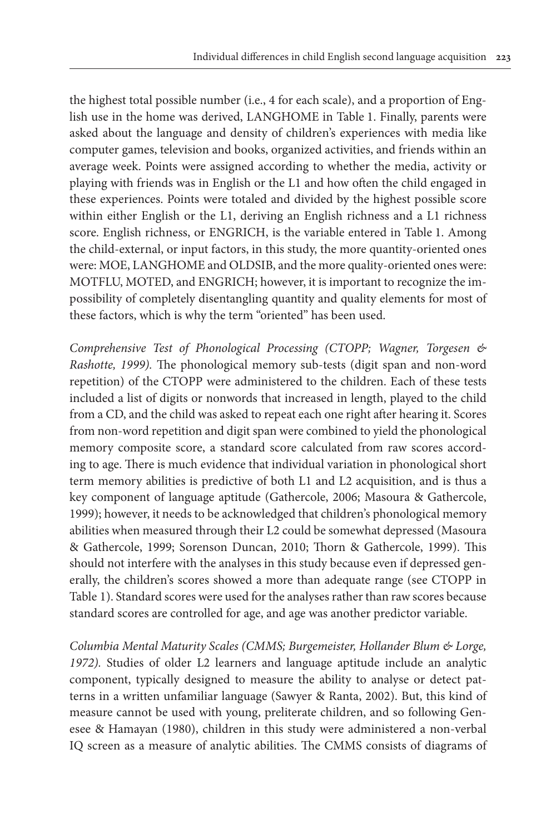the highest total possible number (i.e., 4 for each scale), and a proportion of English use in the home was derived, LANGHOME in Table 1. Finally, parents were asked about the language and density of children's experiences with media like computer games, television and books, organized activities, and friends within an average week. Points were assigned according to whether the media, activity or playing with friends was in English or the L1 and how often the child engaged in these experiences. Points were totaled and divided by the highest possible score within either English or the L1, deriving an English richness and a L1 richness score. English richness, or ENGRICH, is the variable entered in Table 1. Among the child-external, or input factors, in this study, the more quantity-oriented ones were: MOE, LANGHOME and OLDSIB, and the more quality-oriented ones were: MOTFLU, MOTED, and ENGRICH; however, it is important to recognize the impossibility of completely disentangling quantity and quality elements for most of these factors, which is why the term "oriented" has been used.

*Comprehensive Test of Phonological Processing (CTOPP; Wagner, Torgesen & Rashotte, 1999).* The phonological memory sub-tests (digit span and non-word repetition) of the CTOPP were administered to the children. Each of these tests included a list of digits or nonwords that increased in length, played to the child from a CD, and the child was asked to repeat each one right after hearing it. Scores from non-word repetition and digit span were combined to yield the phonological memory composite score, a standard score calculated from raw scores according to age. There is much evidence that individual variation in phonological short term memory abilities is predictive of both L1 and L2 acquisition, and is thus a key component of language aptitude (Gathercole, 2006; Masoura & Gathercole, 1999); however, it needs to be acknowledged that children's phonological memory abilities when measured through their L2 could be somewhat depressed (Masoura & Gathercole, 1999; Sorenson Duncan, 2010; Thorn & Gathercole, 1999). This should not interfere with the analyses in this study because even if depressed generally, the children's scores showed a more than adequate range (see CTOPP in Table 1). Standard scores were used for the analyses rather than raw scores because standard scores are controlled for age, and age was another predictor variable.

*Columbia Mental Maturity Scales (CMMS; Burgemeister, Hollander Blum & Lorge, 1972).* Studies of older L2 learners and language aptitude include an analytic component, typically designed to measure the ability to analyse or detect patterns in a written unfamiliar language (Sawyer & Ranta, 2002). But, this kind of measure cannot be used with young, preliterate children, and so following Genesee & Hamayan (1980), children in this study were administered a non-verbal IQ screen as a measure of analytic abilities. The CMMS consists of diagrams of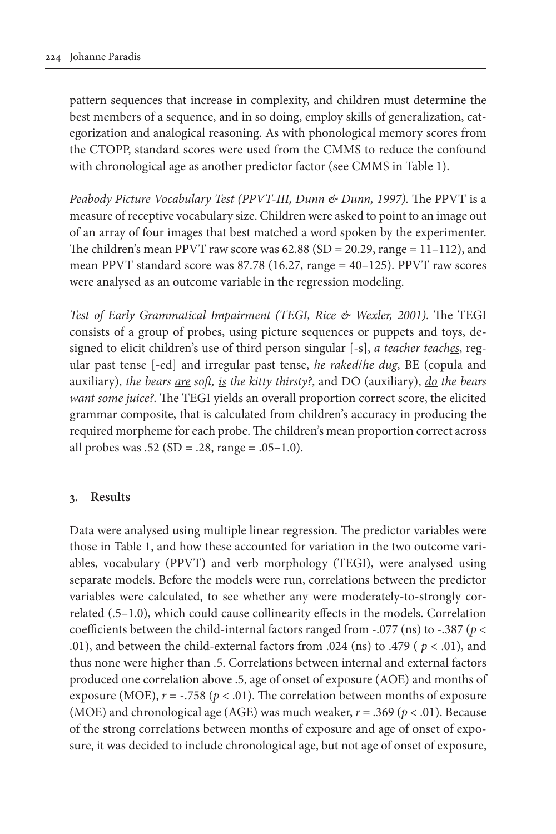pattern sequences that increase in complexity, and children must determine the best members of a sequence, and in so doing, employ skills of generalization, categorization and analogical reasoning. As with phonological memory scores from the CTOPP, standard scores were used from the CMMS to reduce the confound with chronological age as another predictor factor (see CMMS in Table 1).

*Peabody Picture Vocabulary Test (PPVT-III, Dunn & Dunn, 1997).* The PPVT is a measure of receptive vocabulary size. Children were asked to point to an image out of an array of four images that best matched a word spoken by the experimenter. The children's mean PPVT raw score was  $62.88$  (SD = 20.29, range = 11-112), and mean PPVT standard score was 87.78 (16.27, range = 40–125). PPVT raw scores were analysed as an outcome variable in the regression modeling.

*Test of Early Grammatical Impairment (TEGI, Rice & Wexler, 2001).* The TEGI consists of a group of probes, using picture sequences or puppets and toys, designed to elicit children's use of third person singular [-s], *a teacher teaches*, regular past tense [-ed] and irregular past tense, *he raked*/*he dug*, BE (copula and auxiliary), *the bears are soft, is the kitty thirsty?*, and DO (auxiliary), *do the bears want some juice?.* The TEGI yields an overall proportion correct score, the elicited grammar composite, that is calculated from children's accuracy in producing the required morpheme for each probe. The children's mean proportion correct across all probes was  $.52$  (SD =  $.28$ , range =  $.05-1.0$ ).

### **3. Results**

Data were analysed using multiple linear regression. The predictor variables were those in Table 1, and how these accounted for variation in the two outcome variables, vocabulary (PPVT) and verb morphology (TEGI), were analysed using separate models. Before the models were run, correlations between the predictor variables were calculated, to see whether any were moderately-to-strongly correlated (.5–1.0), which could cause collinearity effects in the models. Correlation coefficients between the child-internal factors ranged from -.077 (ns) to -.387 (*p* < .01), and between the child-external factors from .024 (ns) to .479 ( $p < .01$ ), and thus none were higher than .5. Correlations between internal and external factors produced one correlation above .5, age of onset of exposure (AOE) and months of exposure (MOE),  $r = -.758$  ( $p < .01$ ). The correlation between months of exposure (MOE) and chronological age (AGE) was much weaker, *r* = .369 (*p* < .01). Because of the strong correlations between months of exposure and age of onset of exposure, it was decided to include chronological age, but not age of onset of exposure,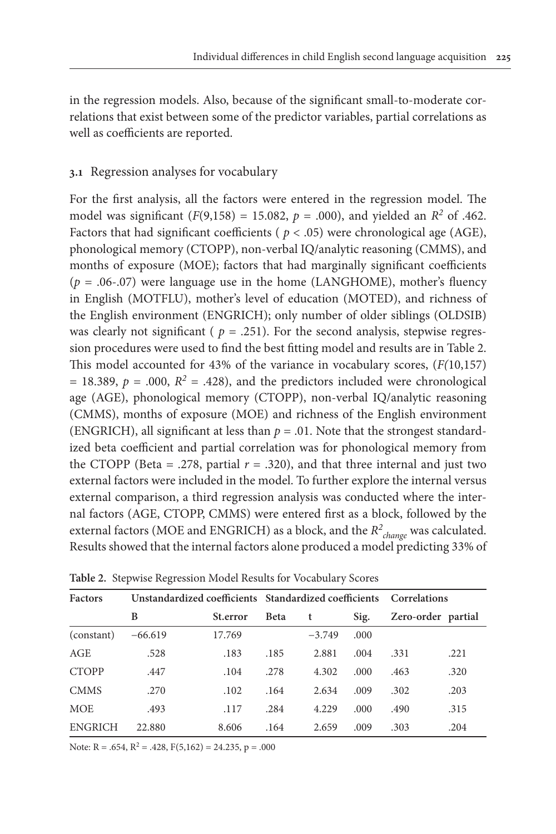in the regression models. Also, because of the significant small-to-moderate correlations that exist between some of the predictor variables, partial correlations as well as coefficients are reported.

# **3.1** Regression analyses for vocabulary

For the first analysis, all the factors were entered in the regression model. The model was significant  $(F(9,158) = 15.082, p = .000)$ , and yielded an  $R^2$  of .462. Factors that had significant coefficients ( $p < .05$ ) were chronological age (AGE), phonological memory (CTOPP), non-verbal IQ/analytic reasoning (CMMS), and months of exposure (MOE); factors that had marginally significant coefficients  $(p = .06-.07)$  were language use in the home (LANGHOME), mother's fluency in English (MOTFLU), mother's level of education (MOTED), and richness of the English environment (ENGRICH); only number of older siblings (OLDSIB) was clearly not significant ( $p = .251$ ). For the second analysis, stepwise regression procedures were used to find the best fitting model and results are in Table 2. This model accounted for 43% of the variance in vocabulary scores, (*F(*10,157) = 18.389,  $p = .000$ ,  $R^2 = .428$ ), and the predictors included were chronological age (AGE), phonological memory (CTOPP), non-verbal IQ/analytic reasoning (CMMS), months of exposure (MOE) and richness of the English environment (ENGRICH), all significant at less than  $p = .01$ . Note that the strongest standardized beta coefficient and partial correlation was for phonological memory from the CTOPP (Beta = .278, partial  $r = .320$ ), and that three internal and just two external factors were included in the model. To further explore the internal versus external comparison, a third regression analysis was conducted where the internal factors (AGE, CTOPP, CMMS) were entered first as a block, followed by the external factors (MOE and ENGRICH) as a block, and the *R<sup>2</sup> change* was calculated. Results showed that the internal factors alone produced a model predicting 33% of

| <b>Factors</b> | Unstandardized coefficients Standardized coefficients Correlations |          |             |          |       |      |                    |  |
|----------------|--------------------------------------------------------------------|----------|-------------|----------|-------|------|--------------------|--|
|                | B                                                                  | St.error | <b>Beta</b> | t        | Sig.  |      | Zero-order partial |  |
| (constant)     | $-66.619$                                                          | 17.769   |             | $-3.749$ | .000. |      |                    |  |
| AGE            | .528                                                               | .183     | .185        | 2.881    | .004  | .331 | .221               |  |
| <b>CTOPP</b>   | .447                                                               | .104     | .278        | 4.302    | .000  | .463 | .320               |  |
| <b>CMMS</b>    | .270                                                               | .102     | .164        | 2.634    | .009  | .302 | .203               |  |
| <b>MOE</b>     | .493                                                               | .117     | .284        | 4.229    | .000. | .490 | .315               |  |
| <b>ENGRICH</b> | 22.880                                                             | 8.606    | .164        | 2.659    | .009  | .303 | .204               |  |

**Table 2.** Stepwise Regression Model Results for Vocabulary Scores

Note:  $R = .654$ ,  $R^2 = .428$ ,  $F(5,162) = 24.235$ ,  $p = .000$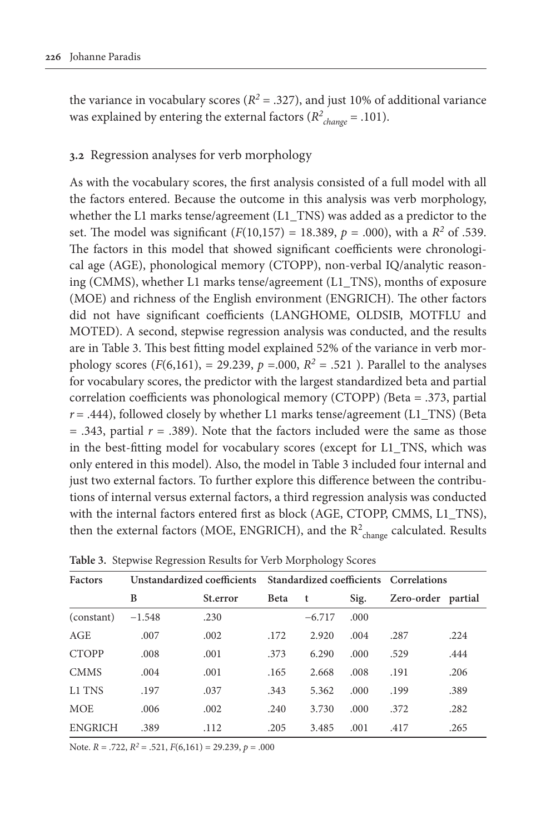the variance in vocabulary scores ( $R^2 = .327$ ), and just 10% of additional variance was explained by entering the external factors (*R2 change* = .101).

# **3.2** Regression analyses for verb morphology

As with the vocabulary scores, the first analysis consisted of a full model with all the factors entered. Because the outcome in this analysis was verb morphology, whether the L1 marks tense/agreement (L1\_TNS) was added as a predictor to the set. The model was significant  $(F(10,157) = 18.389, p = .000)$ , with a  $R^2$  of .539. The factors in this model that showed significant coefficients were chronological age (AGE), phonological memory (CTOPP), non-verbal IQ/analytic reasoning (CMMS), whether L1 marks tense/agreement (L1\_TNS), months of exposure (MOE) and richness of the English environment (ENGRICH). The other factors did not have significant coefficients (LANGHOME, OLDSIB, MOTFLU and MOTED). A second, stepwise regression analysis was conducted, and the results are in Table 3. This best fitting model explained 52% of the variance in verb morphology scores (*F*(6,161), = 29.239, *p* = 000,  $R^2$  = .521 ). Parallel to the analyses for vocabulary scores, the predictor with the largest standardized beta and partial correlation coefficients was phonological memory (CTOPP) *(*Beta = .373, partial *r* = .444), followed closely by whether L1 marks tense/agreement (L1\_TNS) (Beta  $=$  .343, partial  $r = .389$ ). Note that the factors included were the same as those in the best-fitting model for vocabulary scores (except for L1\_TNS, which was only entered in this model). Also, the model in Table 3 included four internal and just two external factors. To further explore this difference between the contributions of internal versus external factors, a third regression analysis was conducted with the internal factors entered first as block (AGE, CTOPP, CMMS, L1\_TNS), then the external factors (MOE, ENGRICH), and the  $R^2_{\text{change}}$  calculated. Results

| <b>Factors</b> |          |          | Unstandardized coefficients Standardized coefficients Correlations |          |       |            |         |
|----------------|----------|----------|--------------------------------------------------------------------|----------|-------|------------|---------|
|                | B        | St.error | <b>Beta</b>                                                        | t        | Sig.  | Zero-order | partial |
| (constant)     | $-1.548$ | .230     |                                                                    | $-6.717$ | .000  |            |         |
| AGE            | .007     | .002     | .172                                                               | 2.920    | .004  | .287       | .224    |
| <b>CTOPP</b>   | .008     | .001     | .373                                                               | 6.290    | .000. | .529       | .444    |
| <b>CMMS</b>    | .004     | .001     | .165                                                               | 2.668    | .008  | .191       | .206    |
| L1 TNS         | .197     | .037     | .343                                                               | 5.362    | .000  | .199       | .389    |
| <b>MOE</b>     | .006     | .002     | .240                                                               | 3.730    | .000  | .372       | .282    |
| <b>ENGRICH</b> | .389     | .112     | .205                                                               | 3.485    | .001  | .417       | .265    |

**Table 3.** Stepwise Regression Results for Verb Morphology Scores

Note. *R* = .722, *R2* = .521, *F*(6,161) = 29.239, *p* = .000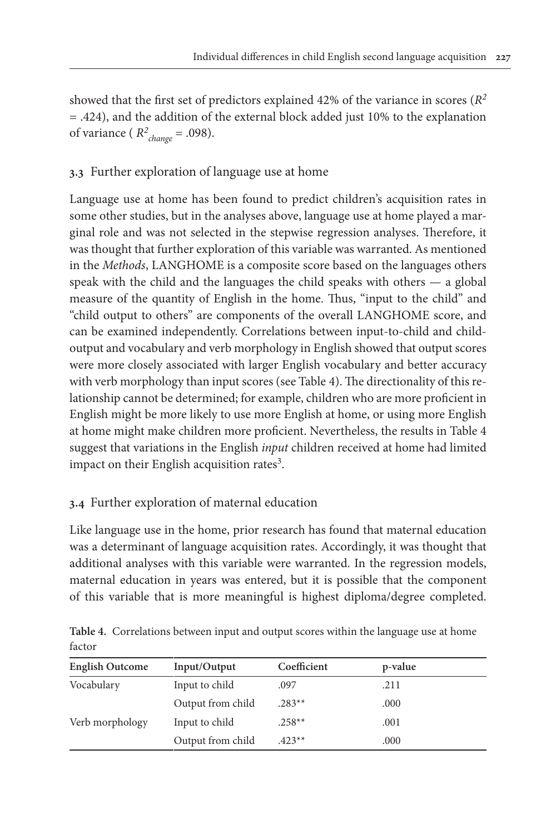showed that the first set of predictors explained 42% of the variance in scores (*R<sup>2</sup>* = .424), and the addition of the external block added just 10% to the explanation of variance ( $R^2_{change} = .098$ ).

# **3.3** Further exploration of language use at home

Language use at home has been found to predict children's acquisition rates in some other studies, but in the analyses above, language use at home played a marginal role and was not selected in the stepwise regression analyses. Therefore, it was thought that further exploration of this variable was warranted. As mentioned in the *Methods*, LANGHOME is a composite score based on the languages others speak with the child and the languages the child speaks with others — a global measure of the quantity of English in the home. Thus, "input to the child" and "child output to others" are components of the overall LANGHOME score, and can be examined independently. Correlations between input-to-child and childoutput and vocabulary and verb morphology in English showed that output scores were more closely associated with larger English vocabulary and better accuracy with verb morphology than input scores (see Table 4). The directionality of this relationship cannot be determined; for example, children who are more proficient in English might be more likely to use more English at home, or using more English at home might make children more proficient. Nevertheless, the results in Table 4 suggest that variations in the English *input* children received at home had limited impact on their English acquisition rates<sup>3</sup>.

# **3.4** Further exploration of maternal education

Like language use in the home, prior research has found that maternal education was a determinant of language acquisition rates. Accordingly, it was thought that additional analyses with this variable were warranted. In the regression models, maternal education in years was entered, but it is possible that the component of this variable that is more meaningful is highest diploma/degree completed.

|        | Table 4. Correlations between input and output scores within the language use at home |  |  |  |
|--------|---------------------------------------------------------------------------------------|--|--|--|
| factor |                                                                                       |  |  |  |

| <b>English Outcome</b> | Input/Output      | Coefficient | p-value |  |
|------------------------|-------------------|-------------|---------|--|
| Vocabulary             | Input to child    | .097        | .211    |  |
|                        | Output from child | $.283**$    | .000    |  |
| Verb morphology        | Input to child    | $.258**$    | .001    |  |
|                        | Output from child | $423**$     | .000    |  |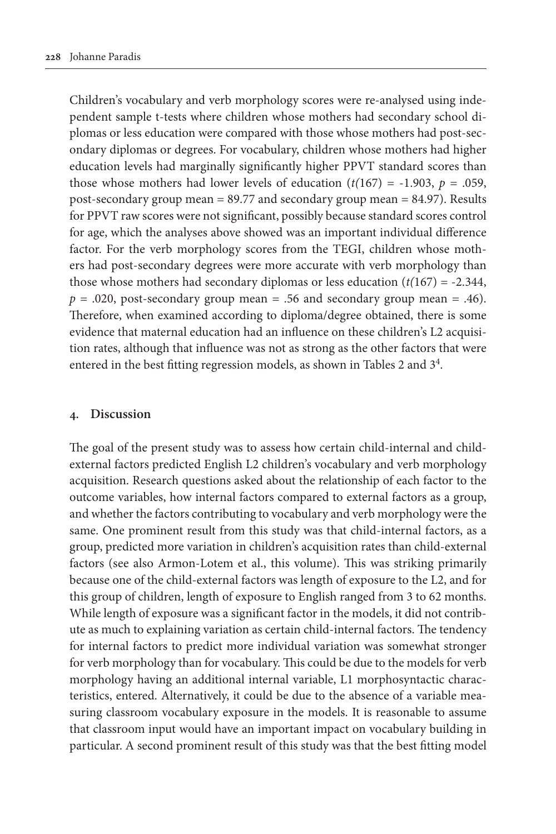Children's vocabulary and verb morphology scores were re-analysed using independent sample t-tests where children whose mothers had secondary school diplomas or less education were compared with those whose mothers had post-secondary diplomas or degrees. For vocabulary, children whose mothers had higher education levels had marginally significantly higher PPVT standard scores than those whose mothers had lower levels of education  $(t(167) = -1.903, p = .059,$ post-secondary group mean = 89.77 and secondary group mean = 84.97). Results for PPVT raw scores were not significant, possibly because standard scores control for age, which the analyses above showed was an important individual difference factor. For the verb morphology scores from the TEGI, children whose mothers had post-secondary degrees were more accurate with verb morphology than those whose mothers had secondary diplomas or less education  $(t(167) = -2.344$ ,  $p = .020$ , post-secondary group mean = .56 and secondary group mean = .46). Therefore, when examined according to diploma/degree obtained, there is some evidence that maternal education had an influence on these children's L2 acquisition rates, although that influence was not as strong as the other factors that were entered in the best fitting regression models, as shown in Tables 2 and 34.

### **4. Discussion**

The goal of the present study was to assess how certain child-internal and childexternal factors predicted English L2 children's vocabulary and verb morphology acquisition. Research questions asked about the relationship of each factor to the outcome variables, how internal factors compared to external factors as a group, and whether the factors contributing to vocabulary and verb morphology were the same. One prominent result from this study was that child-internal factors, as a group, predicted more variation in children's acquisition rates than child-external factors (see also Armon-Lotem et al., this volume). This was striking primarily because one of the child-external factors was length of exposure to the L2, and for this group of children, length of exposure to English ranged from 3 to 62 months. While length of exposure was a significant factor in the models, it did not contribute as much to explaining variation as certain child-internal factors. The tendency for internal factors to predict more individual variation was somewhat stronger for verb morphology than for vocabulary. This could be due to the models for verb morphology having an additional internal variable, L1 morphosyntactic characteristics, entered. Alternatively, it could be due to the absence of a variable measuring classroom vocabulary exposure in the models. It is reasonable to assume that classroom input would have an important impact on vocabulary building in particular. A second prominent result of this study was that the best fitting model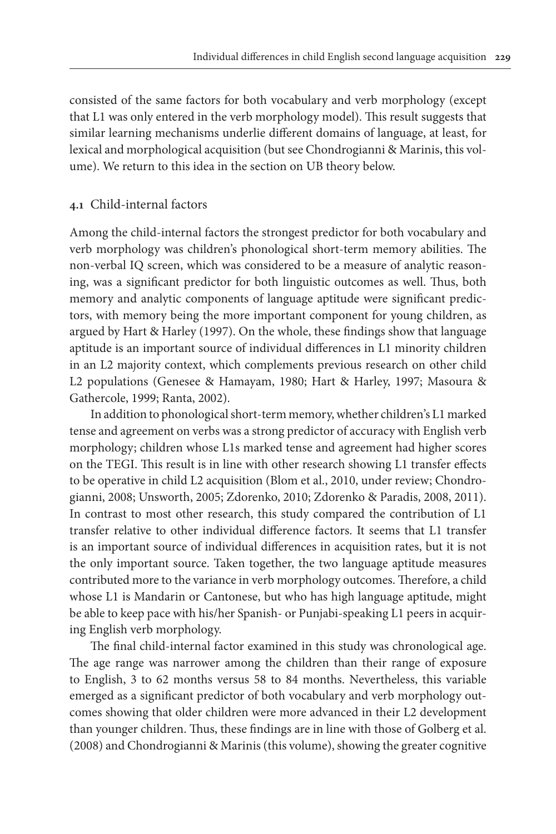consisted of the same factors for both vocabulary and verb morphology (except that L1 was only entered in the verb morphology model). This result suggests that similar learning mechanisms underlie different domains of language, at least, for lexical and morphological acquisition (but see Chondrogianni & Marinis, this volume). We return to this idea in the section on UB theory below.

### **4.1** Child-internal factors

Among the child-internal factors the strongest predictor for both vocabulary and verb morphology was children's phonological short-term memory abilities. The non-verbal IQ screen, which was considered to be a measure of analytic reasoning, was a significant predictor for both linguistic outcomes as well. Thus, both memory and analytic components of language aptitude were significant predictors, with memory being the more important component for young children, as argued by Hart & Harley (1997). On the whole, these findings show that language aptitude is an important source of individual differences in L1 minority children in an L2 majority context, which complements previous research on other child L2 populations (Genesee & Hamayam, 1980; Hart & Harley, 1997; Masoura & Gathercole, 1999; Ranta, 2002).

In addition to phonological short-term memory, whether children's L1 marked tense and agreement on verbs was a strong predictor of accuracy with English verb morphology; children whose L1s marked tense and agreement had higher scores on the TEGI. This result is in line with other research showing L1 transfer effects to be operative in child L2 acquisition (Blom et al., 2010, under review; Chondrogianni, 2008; Unsworth, 2005; Zdorenko, 2010; Zdorenko & Paradis, 2008, 2011). In contrast to most other research, this study compared the contribution of L1 transfer relative to other individual difference factors. It seems that L1 transfer is an important source of individual differences in acquisition rates, but it is not the only important source. Taken together, the two language aptitude measures contributed more to the variance in verb morphology outcomes. Therefore, a child whose L1 is Mandarin or Cantonese, but who has high language aptitude, might be able to keep pace with his/her Spanish- or Punjabi-speaking L1 peers in acquiring English verb morphology.

The final child-internal factor examined in this study was chronological age. The age range was narrower among the children than their range of exposure to English, 3 to 62 months versus 58 to 84 months. Nevertheless, this variable emerged as a significant predictor of both vocabulary and verb morphology outcomes showing that older children were more advanced in their L2 development than younger children. Thus, these findings are in line with those of Golberg et al. (2008) and Chondrogianni & Marinis (this volume), showing the greater cognitive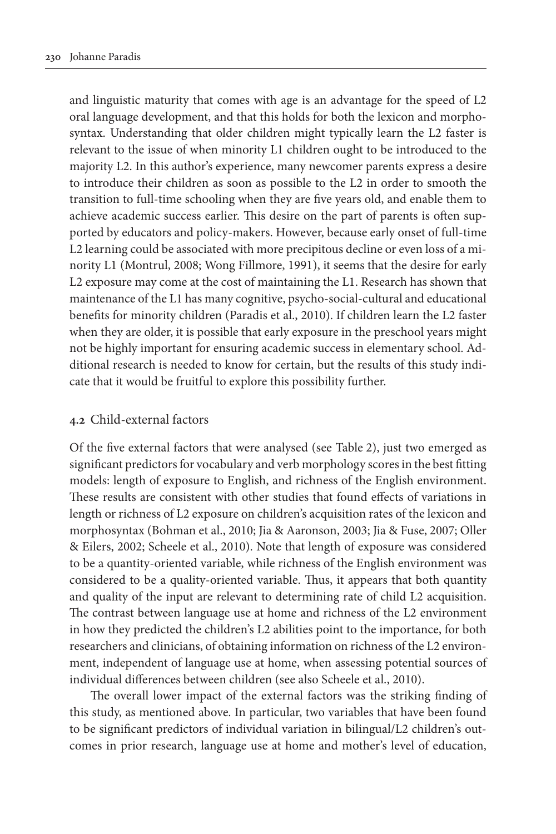and linguistic maturity that comes with age is an advantage for the speed of L2 oral language development, and that this holds for both the lexicon and morphosyntax. Understanding that older children might typically learn the L2 faster is relevant to the issue of when minority L1 children ought to be introduced to the majority L2. In this author's experience, many newcomer parents express a desire to introduce their children as soon as possible to the L2 in order to smooth the transition to full-time schooling when they are five years old, and enable them to achieve academic success earlier. This desire on the part of parents is often supported by educators and policy-makers. However, because early onset of full-time L2 learning could be associated with more precipitous decline or even loss of a minority L1 (Montrul, 2008; Wong Fillmore, 1991), it seems that the desire for early L2 exposure may come at the cost of maintaining the L1. Research has shown that maintenance of the L1 has many cognitive, psycho-social-cultural and educational benefits for minority children (Paradis et al., 2010). If children learn the L2 faster when they are older, it is possible that early exposure in the preschool years might not be highly important for ensuring academic success in elementary school. Additional research is needed to know for certain, but the results of this study indicate that it would be fruitful to explore this possibility further.

### **4.2** Child-external factors

Of the five external factors that were analysed (see Table 2), just two emerged as significant predictors for vocabulary and verb morphology scores in the best fitting models: length of exposure to English, and richness of the English environment. These results are consistent with other studies that found effects of variations in length or richness of L2 exposure on children's acquisition rates of the lexicon and morphosyntax (Bohman et al., 2010; Jia & Aaronson, 2003; Jia & Fuse, 2007; Oller & Eilers, 2002; Scheele et al., 2010). Note that length of exposure was considered to be a quantity-oriented variable, while richness of the English environment was considered to be a quality-oriented variable. Thus, it appears that both quantity and quality of the input are relevant to determining rate of child L2 acquisition. The contrast between language use at home and richness of the L2 environment in how they predicted the children's L2 abilities point to the importance, for both researchers and clinicians, of obtaining information on richness of the L2 environment, independent of language use at home, when assessing potential sources of individual differences between children (see also Scheele et al., 2010).

The overall lower impact of the external factors was the striking finding of this study, as mentioned above. In particular, two variables that have been found to be significant predictors of individual variation in bilingual/L2 children's outcomes in prior research, language use at home and mother's level of education,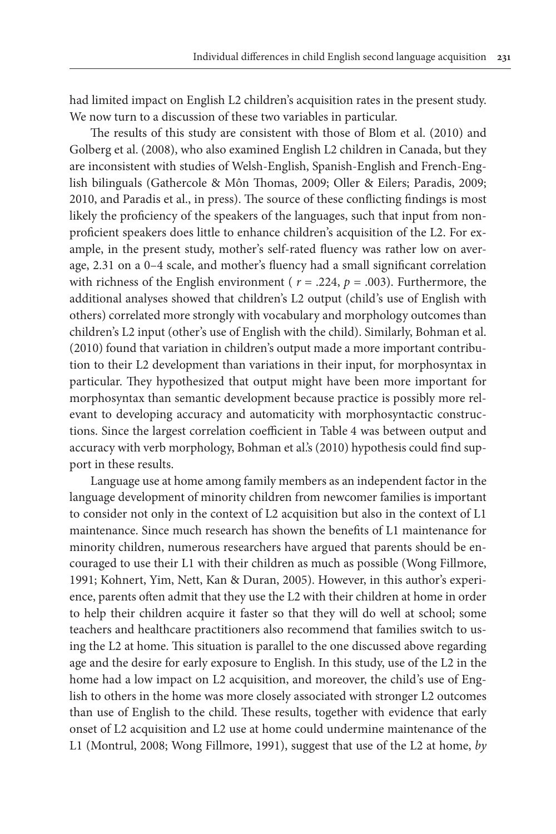had limited impact on English L2 children's acquisition rates in the present study. We now turn to a discussion of these two variables in particular.

The results of this study are consistent with those of Blom et al. (2010) and Golberg et al. (2008), who also examined English L2 children in Canada, but they are inconsistent with studies of Welsh-English, Spanish-English and French-English bilinguals (Gathercole & Môn Thomas, 2009; Oller & Eilers; Paradis, 2009; 2010, and Paradis et al., in press). The source of these conflicting findings is most likely the proficiency of the speakers of the languages, such that input from nonproficient speakers does little to enhance children's acquisition of the L2. For example, in the present study, mother's self-rated fluency was rather low on average, 2.31 on a 0–4 scale, and mother's fluency had a small significant correlation with richness of the English environment ( $r = .224$ ,  $p = .003$ ). Furthermore, the additional analyses showed that children's L2 output (child's use of English with others) correlated more strongly with vocabulary and morphology outcomes than children's L2 input (other's use of English with the child). Similarly, Bohman et al. (2010) found that variation in children's output made a more important contribution to their L2 development than variations in their input, for morphosyntax in particular. They hypothesized that output might have been more important for morphosyntax than semantic development because practice is possibly more relevant to developing accuracy and automaticity with morphosyntactic constructions. Since the largest correlation coefficient in Table 4 was between output and accuracy with verb morphology, Bohman et al.'s (2010) hypothesis could find support in these results.

Language use at home among family members as an independent factor in the language development of minority children from newcomer families is important to consider not only in the context of L2 acquisition but also in the context of L1 maintenance. Since much research has shown the benefits of L1 maintenance for minority children, numerous researchers have argued that parents should be encouraged to use their L1 with their children as much as possible (Wong Fillmore, 1991; Kohnert, Yim, Nett, Kan & Duran, 2005). However, in this author's experience, parents often admit that they use the L2 with their children at home in order to help their children acquire it faster so that they will do well at school; some teachers and healthcare practitioners also recommend that families switch to using the L2 at home. This situation is parallel to the one discussed above regarding age and the desire for early exposure to English. In this study, use of the L2 in the home had a low impact on L2 acquisition, and moreover, the child's use of English to others in the home was more closely associated with stronger L2 outcomes than use of English to the child. These results, together with evidence that early onset of L2 acquisition and L2 use at home could undermine maintenance of the L1 (Montrul, 2008; Wong Fillmore, 1991), suggest that use of the L2 at home, *by*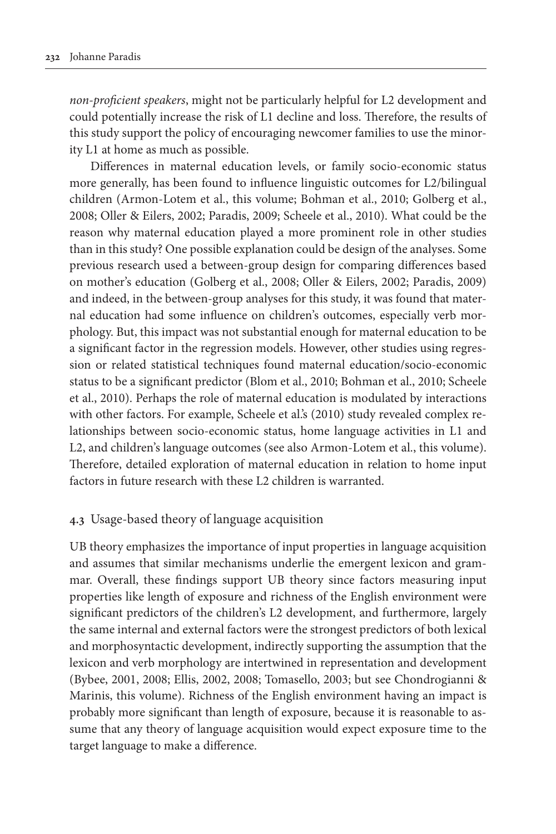*non-proficient speakers*, might not be particularly helpful for L2 development and could potentially increase the risk of L1 decline and loss. Therefore, the results of this study support the policy of encouraging newcomer families to use the minority L1 at home as much as possible.

Differences in maternal education levels, or family socio-economic status more generally, has been found to influence linguistic outcomes for L2/bilingual children (Armon-Lotem et al., this volume; Bohman et al., 2010; Golberg et al., 2008; Oller & Eilers, 2002; Paradis, 2009; Scheele et al., 2010). What could be the reason why maternal education played a more prominent role in other studies than in this study? One possible explanation could be design of the analyses. Some previous research used a between-group design for comparing differences based on mother's education (Golberg et al., 2008; Oller & Eilers, 2002; Paradis, 2009) and indeed, in the between-group analyses for this study, it was found that maternal education had some influence on children's outcomes, especially verb morphology. But, this impact was not substantial enough for maternal education to be a significant factor in the regression models. However, other studies using regression or related statistical techniques found maternal education/socio-economic status to be a significant predictor (Blom et al., 2010; Bohman et al., 2010; Scheele et al., 2010). Perhaps the role of maternal education is modulated by interactions with other factors. For example, Scheele et al's (2010) study revealed complex relationships between socio-economic status, home language activities in L1 and L2, and children's language outcomes (see also Armon-Lotem et al., this volume). Therefore, detailed exploration of maternal education in relation to home input factors in future research with these L2 children is warranted.

### **4.3** Usage-based theory of language acquisition

UB theory emphasizes the importance of input properties in language acquisition and assumes that similar mechanisms underlie the emergent lexicon and grammar. Overall, these findings support UB theory since factors measuring input properties like length of exposure and richness of the English environment were significant predictors of the children's L2 development, and furthermore, largely the same internal and external factors were the strongest predictors of both lexical and morphosyntactic development, indirectly supporting the assumption that the lexicon and verb morphology are intertwined in representation and development (Bybee, 2001, 2008; Ellis, 2002, 2008; Tomasello, 2003; but see Chondrogianni & Marinis, this volume). Richness of the English environment having an impact is probably more significant than length of exposure, because it is reasonable to assume that any theory of language acquisition would expect exposure time to the target language to make a difference.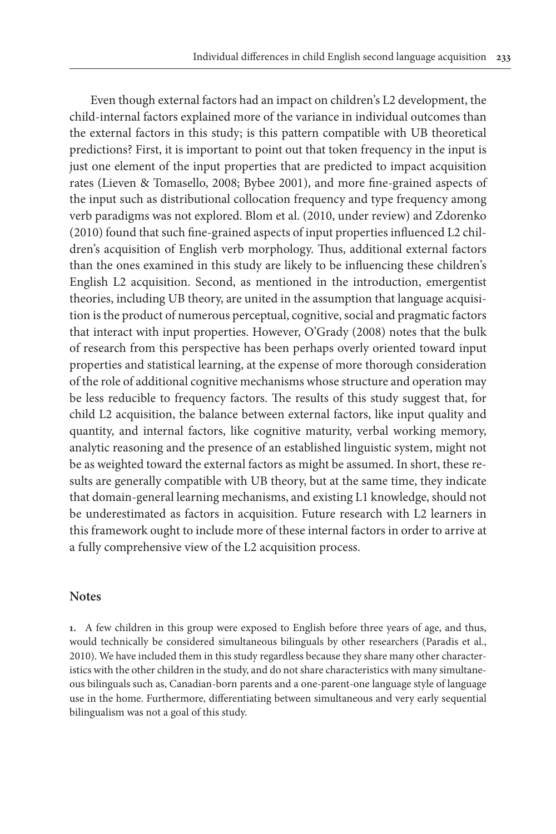Even though external factors had an impact on children's L2 development, the child-internal factors explained more of the variance in individual outcomes than the external factors in this study; is this pattern compatible with UB theoretical predictions? First, it is important to point out that token frequency in the input is just one element of the input properties that are predicted to impact acquisition rates (Lieven & Tomasello, 2008; Bybee 2001), and more fine-grained aspects of the input such as distributional collocation frequency and type frequency among verb paradigms was not explored. Blom et al. (2010, under review) and Zdorenko (2010) found that such fine-grained aspects of input properties influenced L2 children's acquisition of English verb morphology. Thus, additional external factors than the ones examined in this study are likely to be influencing these children's English L2 acquisition. Second, as mentioned in the introduction, emergentist theories, including UB theory, are united in the assumption that language acquisition is the product of numerous perceptual, cognitive, social and pragmatic factors that interact with input properties. However, O'Grady (2008) notes that the bulk of research from this perspective has been perhaps overly oriented toward input properties and statistical learning, at the expense of more thorough consideration of the role of additional cognitive mechanisms whose structure and operation may be less reducible to frequency factors. The results of this study suggest that, for child L2 acquisition, the balance between external factors, like input quality and quantity, and internal factors, like cognitive maturity, verbal working memory, analytic reasoning and the presence of an established linguistic system, might not be as weighted toward the external factors as might be assumed. In short, these results are generally compatible with UB theory, but at the same time, they indicate that domain-general learning mechanisms, and existing L1 knowledge, should not be underestimated as factors in acquisition. Future research with L2 learners in this framework ought to include more of these internal factors in order to arrive at a fully comprehensive view of the L2 acquisition process.

#### **Notes**

**1.** A few children in this group were exposed to English before three years of age, and thus, would technically be considered simultaneous bilinguals by other researchers (Paradis et al., 2010). We have included them in this study regardless because they share many other characteristics with the other children in the study, and do not share characteristics with many simultaneous bilinguals such as, Canadian-born parents and a one-parent-one language style of language use in the home. Furthermore, differentiating between simultaneous and very early sequential bilingualism was not a goal of this study.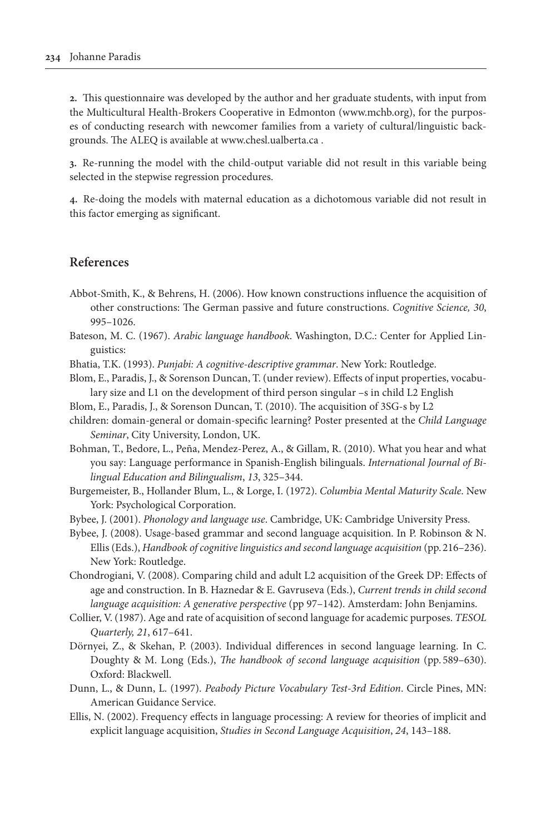**2.** This questionnaire was developed by the author and her graduate students, with input from the Multicultural Health-Brokers Cooperative in Edmonton (www.mchb.org), for the purposes of conducting research with newcomer families from a variety of cultural/linguistic backgrounds. The ALEQ is available at www.chesl.ualberta.ca .

**3.** Re-running the model with the child-output variable did not result in this variable being selected in the stepwise regression procedures.

**4.** Re-doing the models with maternal education as a dichotomous variable did not result in this factor emerging as significant.

### **References**

- Abbot-Smith, K., & Behrens, H. (2006). How known constructions influence the acquisition of other constructions: The German passive and future constructions. *Cognitive Science, 30*, 995–1026.
- Bateson, M. C. (1967). *Arabic language handbook*. Washington, D.C.: Center for Applied Linguistics:
- Bhatia, T.K. (1993). *Punjabi: A cognitive-descriptive grammar*. New York: Routledge.
- Blom, E., Paradis, J., & Sorenson Duncan, T. (under review). Effects of input properties, vocabulary size and L1 on the development of third person singular –s in child L2 English
- Blom, E., Paradis, J., & Sorenson Duncan, T. (2010). The acquisition of 3SG-s by L2
- children: domain-general or domain-specific learning? Poster presented at the *Child Language Seminar*, City University, London, UK.
- Bohman, T., Bedore, L., Peña, Mendez-Perez, A., & Gillam, R. (2010). What you hear and what you say: Language performance in Spanish-English bilinguals. *International Journal of Bilingual Education and Bilingualism*, *13*, 325–344.
- Burgemeister, B., Hollander Blum, L., & Lorge, I. (1972). *Columbia Mental Maturity Scale*. New York: Psychological Corporation.
- Bybee, J. (2001). *Phonology and language use*. Cambridge, UK: Cambridge University Press.
- Bybee, J. (2008). Usage-based grammar and second language acquisition. In P. Robinson & N. Ellis (Eds.), *Handbook of cognitive linguistics and second language acquisition* (pp. 216–236). New York: Routledge.
- Chondrogiani, V. (2008). Comparing child and adult L2 acquisition of the Greek DP: Effects of age and construction. In B. Haznedar & E. Gavruseva (Eds.), *Current trends in child second language acquisition: A generative perspective* (pp 97–142). Amsterdam: John Benjamins.
- Collier, V. (1987). Age and rate of acquisition of second language for academic purposes. *TESOL Quarterly, 21*, 617–641.
- Dörnyei, Z., & Skehan, P. (2003). Individual differences in second language learning. In C. Doughty & M. Long (Eds.), *The handbook of second language acquisition* (pp. 589–630). Oxford: Blackwell.
- Dunn, L., & Dunn, L. (1997). *Peabody Picture Vocabulary Test-3rd Edition*. Circle Pines, MN: American Guidance Service.
- Ellis, N. (2002). Frequency effects in language processing: A review for theories of implicit and explicit language acquisition, *Studies in Second Language Acquisition*, *24*, 143–188.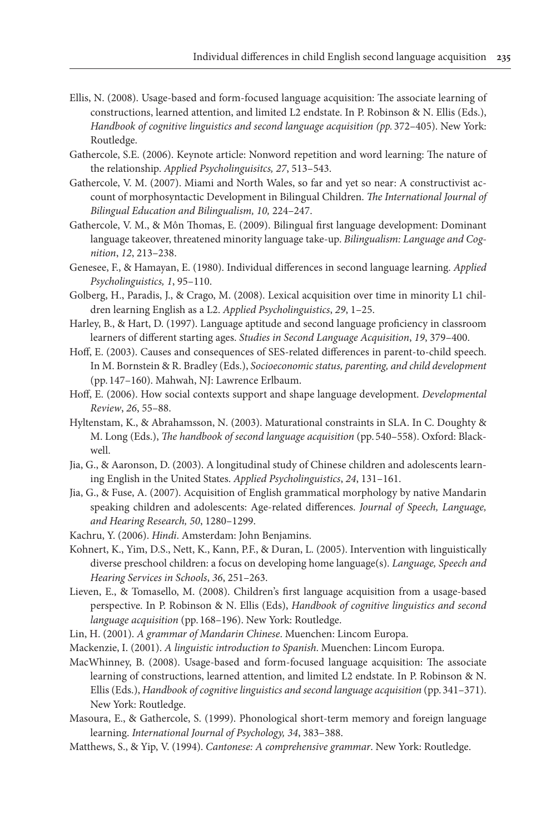- Ellis, N. (2008). Usage-based and form-focused language acquisition: The associate learning of constructions, learned attention, and limited L2 endstate. In P. Robinson & N. Ellis (Eds.), *Handbook of cognitive linguistics and second language acquisition (pp.* 372–405). New York: Routledge.
- Gathercole, S.E. (2006). Keynote article: Nonword repetition and word learning: The nature of the relationship. *Applied Psycholinguisitcs, 27*, 513–543.
- Gathercole, V. M. (2007). Miami and North Wales, so far and yet so near: A constructivist account of morphosyntactic Development in Bilingual Children. *The International Journal of Bilingual Education and Bilingualism, 10,* 224–247.
- Gathercole, V. M., & Môn Thomas, E. (2009). Bilingual first language development: Dominant language takeover, threatened minority language take-up. *Bilingualism: Language and Cognition*, *12*, 213–238.
- Genesee, F., & Hamayan, E. (1980). Individual differences in second language learning. *Applied Psycholinguistics, 1*, 95–110.
- Golberg, H., Paradis, J., & Crago, M. (2008). Lexical acquisition over time in minority L1 children learning English as a L2. *Applied Psycholinguistics*, *29*, 1–25.
- Harley, B., & Hart, D. (1997). Language aptitude and second language proficiency in classroom learners of different starting ages. *Studies in Second Language Acquisition*, *19*, 379–400.
- Hoff, E. (2003). Causes and consequences of SES-related differences in parent-to-child speech. In M. Bornstein & R. Bradley (Eds.), *Socioeconomic status, parenting, and child development* (pp. 147–160). Mahwah, NJ: Lawrence Erlbaum.
- Hoff, E. (2006). How social contexts support and shape language development. *Developmental Review*, *26*, 55–88.
- Hyltenstam, K., & Abrahamsson, N. (2003). Maturational constraints in SLA. In C. Doughty & M. Long (Eds.), *The handbook of second language acquisition* (pp. 540–558). Oxford: Blackwell.
- Jia, G., & Aaronson, D. (2003). A longitudinal study of Chinese children and adolescents learning English in the United States. *Applied Psycholinguistics*, *24*, 131–161.
- Jia, G., & Fuse, A. (2007). Acquisition of English grammatical morphology by native Mandarin speaking children and adolescents: Age-related differences. *Journal of Speech, Language, and Hearing Research, 50*, 1280–1299.
- Kachru, Y. (2006). *Hindi*. Amsterdam: John Benjamins.
- Kohnert, K., Yim, D.S., Nett, K., Kann, P.F., & Duran, L. (2005). Intervention with linguistically diverse preschool children: a focus on developing home language(s). *Language, Speech and Hearing Services in Schools*, *36*, 251–263.
- Lieven, E., & Tomasello, M. (2008). Children's first language acquisition from a usage-based perspective. In P. Robinson & N. Ellis (Eds), *Handbook of cognitive linguistics and second language acquisition* (pp. 168–196). New York: Routledge.
- Lin, H. (2001). *A grammar of Mandarin Chinese*. Muenchen: Lincom Europa.
- Mackenzie, I. (2001). *A linguistic introduction to Spanish*. Muenchen: Lincom Europa.
- MacWhinney, B. (2008). Usage-based and form-focused language acquisition: The associate learning of constructions, learned attention, and limited L2 endstate. In P. Robinson & N. Ellis (Eds.), *Handbook of cognitive linguistics and second language acquisition* (pp. 341–371). New York: Routledge.
- Masoura, E., & Gathercole, S. (1999). Phonological short-term memory and foreign language learning. *International Journal of Psychology, 34*, 383–388.
- Matthews, S., & Yip, V. (1994). *Cantonese: A comprehensive grammar*. New York: Routledge.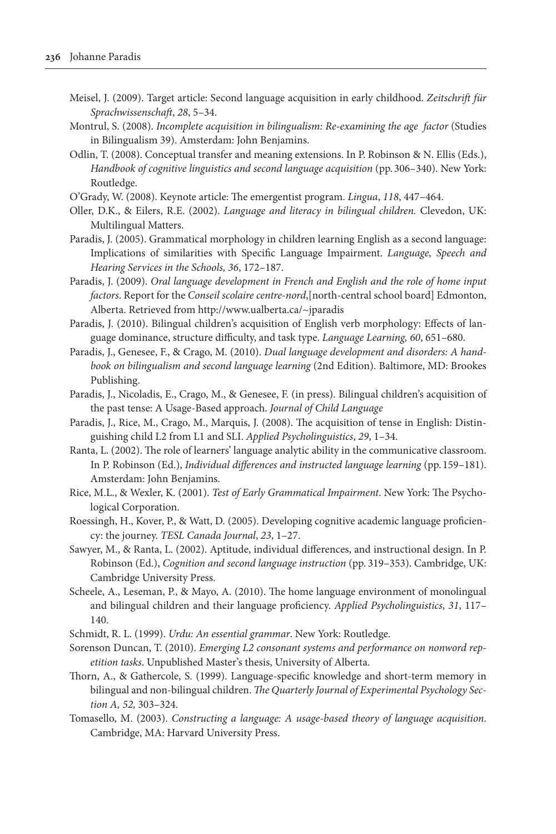- Meisel, J. (2009). Target article: Second language acquisition in early childhood. *Zeitschrift für Sprachwissenschaft*, *28*, 5–34.
- Montrul, S. (2008). *Incomplete acquisition in bilingualism: Re-examining the age factor* (Studies in Bilingualism 39). Amsterdam: John Benjamins.
- Odlin, T. (2008). Conceptual transfer and meaning extensions. In P. Robinson & N. Ellis (Eds.), *Handbook of cognitive linguistics and second language acquisition* (pp. 306–340). New York: Routledge.
- O'Grady, W. (2008). Keynote article: The emergentist program. *Lingua*, *118*, 447–464.
- Oller, D.K., & Eilers, R.E. (2002). *Language and literacy in bilingual children.* Clevedon, UK: Multilingual Matters.
- Paradis, J. (2005). Grammatical morphology in children learning English as a second language: Implications of similarities with Specific Language Impairment. *Language, Speech and Hearing Services in the Schools, 36*, 172–187.
- Paradis, J. (2009). *Oral language development in French and English and the role of home input factors*. Report for the *Conseil scolaire centre-nord*,[north-central school board] Edmonton, Alberta. Retrieved from <http://www.ualberta.ca/~jparadis>
- Paradis, J. (2010). Bilingual children's acquisition of English verb morphology: Effects of language dominance, structure difficulty, and task type. *Language Learning, 60*, 651–680.
- Paradis, J., Genesee, F., & Crago, M. (2010). *Dual language development and disorders: A handbook on bilingualism and second language learning* (2nd Edition). Baltimore, MD: Brookes Publishing.
- Paradis, J., Nicoladis, E., Crago, M., & Genesee, F. (in press). Bilingual children's acquisition of the past tense: A Usage-Based approach. *Journal of Child Language*
- Paradis, J., Rice, M., Crago, M., Marquis, J. (2008). The acquisition of tense in English: Distinguishing child L2 from L1 and SLI. *Applied Psycholinguistics*, *29*, 1–34.
- Ranta, L. (2002). The role of learners' language analytic ability in the communicative classroom. In P. Robinson (Ed.), *Individual differences and instructed language learning* (pp. 159–181). Amsterdam: John Benjamins.
- Rice, M.L., & Wexler, K. (2001). *Test of Early Grammatical Impairment*. New York: The Psychological Corporation.
- Roessingh, H., Kover, P., & Watt, D. (2005). Developing cognitive academic language proficiency: the journey. *TESL Canada Journal*, *23*, 1–27.
- Sawyer, M., & Ranta, L. (2002). Aptitude, individual differences, and instructional design. In P. Robinson (Ed.), *Cognition and second language instruction* (pp*.* 319–353). Cambridge, UK: Cambridge University Press.
- Scheele, A., Leseman, P., & Mayo, A. (2010). The home language environment of monolingual and bilingual children and their language proficiency. *Applied Psycholinguistics*, *31*, 117– 140.
- Schmidt, R. L. (1999). *Urdu: An essential grammar*. New York: Routledge.
- Sorenson Duncan, T. (2010). *Emerging L2 consonant systems and performance on nonword repetition tasks*. Unpublished Master's thesis, University of Alberta.
- Thorn, A., & Gathercole, S. (1999). Language-specific knowledge and short-term memory in bilingual and non-bilingual children. *The Quarterly Journal of Experimental Psychology Section A, 52,* 303–324.
- Tomasello, M. (2003). *Constructing a language: A usage-based theory of language acquisition*. Cambridge, MA: Harvard University Press.